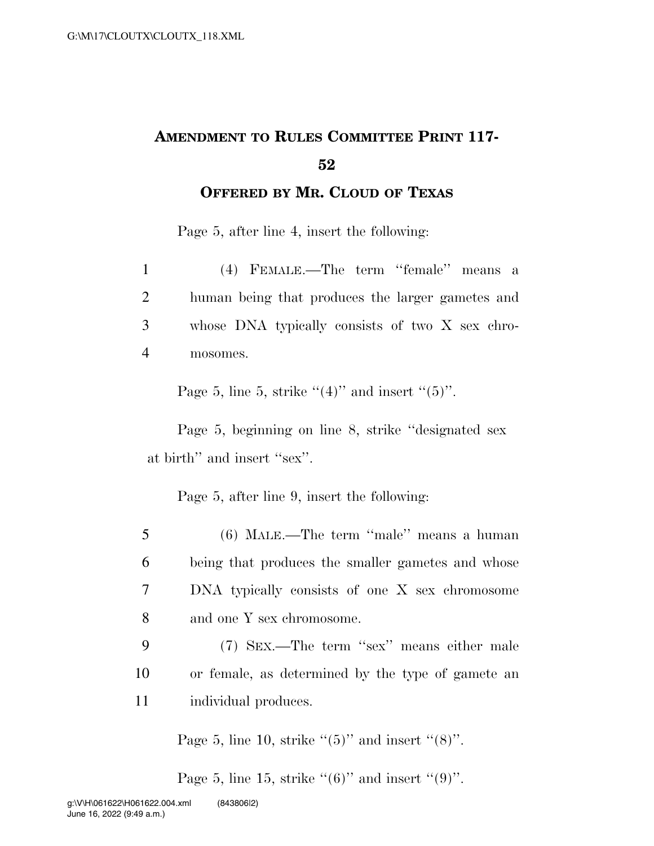## **AMENDMENT TO RULES COMMITTEE PRINT 117- 52**

**OFFERED BY MR. CLOUD OF TEXAS**

Page 5, after line 4, insert the following:

| $\mathbf{1}$   | (4) FEMALE.—The term "female" means a            |
|----------------|--------------------------------------------------|
| 2              | human being that produces the larger gametes and |
| 3 <sup>7</sup> | whose DNA typically consists of two X sex chro-  |
| 4              | mosomes.                                         |

Page 5, line 5, strike  $(4)$ " and insert  $(5)$ ".

Page 5, beginning on line 8, strike ''designated sex at birth'' and insert ''sex''.

Page 5, after line 9, insert the following:

- 5 (6) MALE.—The term ''male'' means a human 6 being that produces the smaller gametes and whose 7 DNA typically consists of one X sex chromosome 8 and one Y sex chromosome.
- 9 (7) SEX.—The term ''sex'' means either male 10 or female, as determined by the type of gamete an 11 individual produces.

Page 5, line 10, strike " $(5)$ " and insert " $(8)$ ".

Page 5, line 15, strike  $((6)$ " and insert  $((9)$ ".